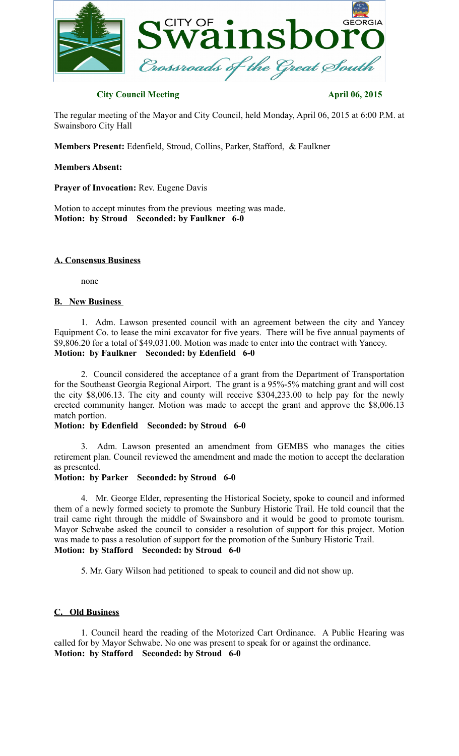

# **City Council Meeting April 06, 2015**

The regular meeting of the Mayor and City Council, held Monday, April 06, 2015 at 6:00 P.M. at Swainsboro City Hall

**Members Present:** Edenfield, Stroud, Collins, Parker, Stafford, & Faulkner

## **Members Absent:**

**Prayer of Invocation:** Rev. Eugene Davis

Motion to accept minutes from the previous meeting was made. **Motion: by Stroud Seconded: by Faulkner 6-0**

## **A. Consensus Business**

none

#### **B. New Business**

1. Adm. Lawson presented council with an agreement between the city and Yancey Equipment Co. to lease the mini excavator for five years. There will be five annual payments of \$9,806.20 for a total of \$49,031.00. Motion was made to enter into the contract with Yancey. **Motion: by Faulkner Seconded: by Edenfield 6-0**

2. Council considered the acceptance of a grant from the Department of Transportation for the Southeast Georgia Regional Airport. The grant is a 95%-5% matching grant and will cost the city \$8,006.13. The city and county will receive \$304,233.00 to help pay for the newly erected community hanger. Motion was made to accept the grant and approve the \$8,006.13 match portion.

#### **Motion: by Edenfield Seconded: by Stroud 6-0**

3. Adm. Lawson presented an amendment from GEMBS who manages the cities retirement plan. Council reviewed the amendment and made the motion to accept the declaration as presented.

#### **Motion: by Parker Seconded: by Stroud 6-0**

4. Mr. George Elder, representing the Historical Society, spoke to council and informed them of a newly formed society to promote the Sunbury Historic Trail. He told council that the trail came right through the middle of Swainsboro and it would be good to promote tourism. Mayor Schwabe asked the council to consider a resolution of support for this project. Motion was made to pass a resolution of support for the promotion of the Sunbury Historic Trail. **Motion: by Stafford Seconded: by Stroud 6-0**

5. Mr. Gary Wilson had petitioned to speak to council and did not show up.

## **C. Old Business**

1. Council heard the reading of the Motorized Cart Ordinance. A Public Hearing was called for by Mayor Schwabe. No one was present to speak for or against the ordinance. **Motion: by Stafford Seconded: by Stroud 6-0**